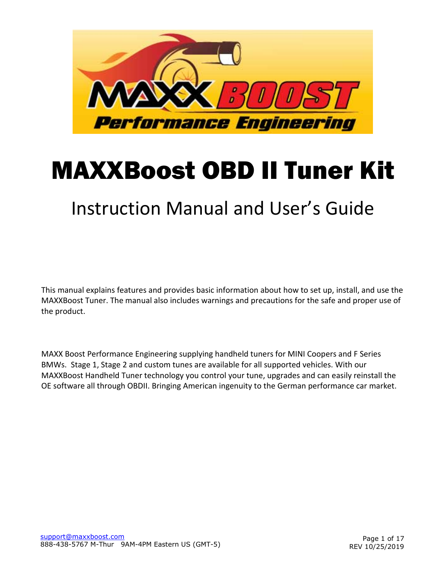

## MAXXBoost OBD II Tuner Kit

### Instruction Manual and User's Guide

This manual explains features and provides basic information about how to set up, install, and use the MAXXBoost Tuner. The manual also includes warnings and precautions for the safe and proper use of the product.

MAXX Boost Performance Engineering supplying handheld tuners for MINI Coopers and F Series BMWs. Stage 1, Stage 2 and custom tunes are available for all supported vehicles. With our MAXXBoost Handheld Tuner technology you control your tune, upgrades and can easily reinstall the OE software all through OBDII. Bringing American ingenuity to the German performance car market.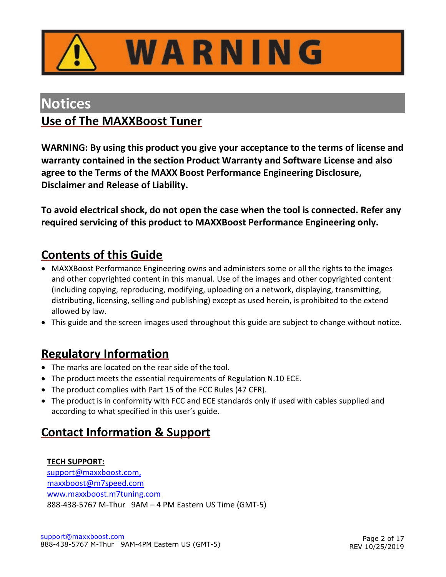

# WARNING

### <span id="page-1-0"></span>**Notices**

### <span id="page-1-1"></span>**Use of The MAXXBoost Tuner**

**WARNING: By using this product you give your acceptance to the terms of license and warranty contained in the section Product Warranty and Software License and also agree to the Terms of the MAXX Boost Performance Engineering Disclosure, Disclaimer and Release of Liability.**

**To avoid electrical shock, do not open the case when the tool is connected. Refer any required servicing of this product to MAXXBoost Performance Engineering only.**

### <span id="page-1-2"></span>**Contents of this Guide**

- MAXXBoost Performance Engineering owns and administers some or all the rights to the images and other copyrighted content in this manual. Use of the images and other copyrighted content (including copying, reproducing, modifying, uploading on a network, displaying, transmitting, distributing, licensing, selling and publishing) except as used herein, is prohibited to the extend allowed by law.
- This guide and the screen images used throughout this guide are subject to change without notice.

### <span id="page-1-3"></span>**Regulatory Information**

- The marks are located on the rear side of the tool.
- The product meets the essential requirements of Regulation N.10 ECE.
- The product complies with Part 15 of the FCC Rules (47 CFR).
- The product is in conformity with FCC and ECE standards only if used with cables supplied and according to what specified in this user's guide.

### <span id="page-1-4"></span>**Contact Information & Support**

#### **TECH SUPPORT:** [support@maxxboost.com,](mailto:support@maxxboost.com) maxxboost@m7speed.com [www.maxxboost.m7tuning.com](http://www.maxxboost.m7tuning.com/) 888-438-5767 M-Thur 9AM – 4 PM Eastern US Time (GMT-5)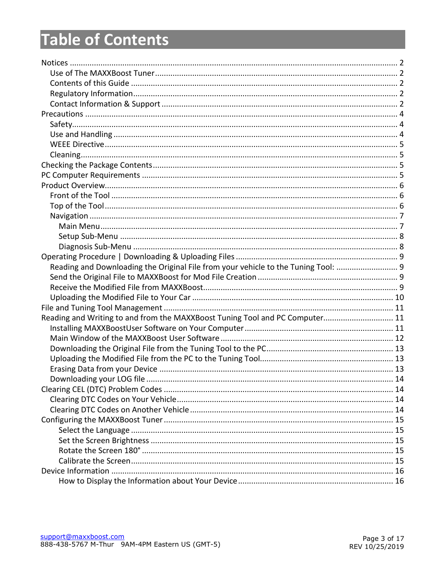### **Table of Contents**

| Reading and Downloading the Original File from your vehicle to the Tuning Tool: |  |
|---------------------------------------------------------------------------------|--|
|                                                                                 |  |
|                                                                                 |  |
|                                                                                 |  |
|                                                                                 |  |
| Reading and Writing to and from the MAXXBoost Tuning Tool and PC Computer 11    |  |
|                                                                                 |  |
|                                                                                 |  |
|                                                                                 |  |
|                                                                                 |  |
|                                                                                 |  |
|                                                                                 |  |
|                                                                                 |  |
|                                                                                 |  |
|                                                                                 |  |
|                                                                                 |  |
|                                                                                 |  |
|                                                                                 |  |
|                                                                                 |  |
|                                                                                 |  |
|                                                                                 |  |
|                                                                                 |  |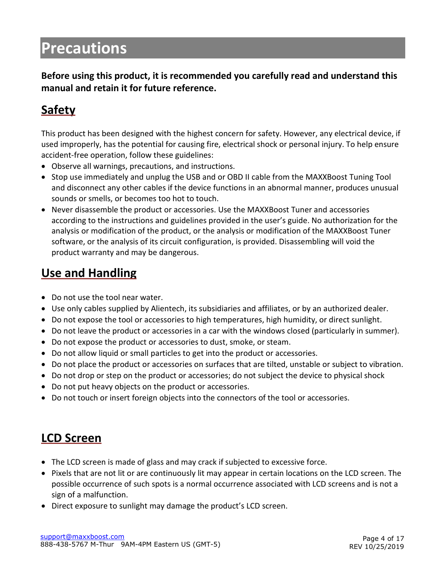### <span id="page-3-0"></span>**Precautions**

**Before using this product, it is recommended you carefully read and understand this manual and retain it for future reference.**

### <span id="page-3-1"></span>**Safety**

This product has been designed with the highest concern for safety. However, any electrical device, if used improperly, has the potential for causing fire, electrical shock or personal injury. To help ensure accident-free operation, follow these guidelines:

- Observe all warnings, precautions, and instructions.
- Stop use immediately and unplug the USB and or OBD II cable from the MAXXBoost Tuning Tool and disconnect any other cables if the device functions in an abnormal manner, produces unusual sounds or smells, or becomes too hot to touch.
- Never disassemble the product or accessories. Use the MAXXBoost Tuner and accessories according to the instructions and guidelines provided in the user's guide. No authorization for the analysis or modification of the product, or the analysis or modification of the MAXXBoost Tuner software, or the analysis of its circuit configuration, is provided. Disassembling will void the product warranty and may be dangerous.

### <span id="page-3-2"></span>**Use and Handling**

- Do not use the tool near water.
- Use only cables supplied by Alientech, its subsidiaries and affiliates, or by an authorized dealer.
- Do not expose the tool or accessories to high temperatures, high humidity, or direct sunlight.
- Do not leave the product or accessories in a car with the windows closed (particularly in summer).
- Do not expose the product or accessories to dust, smoke, or steam.
- Do not allow liquid or small particles to get into the product or accessories.
- Do not place the product or accessories on surfaces that are tilted, unstable or subject to vibration.
- Do not drop or step on the product or accessories; do not subject the device to physical shock
- Do not put heavy objects on the product or accessories.
- Do not touch or insert foreign objects into the connectors of the tool or accessories.

### **LCD Screen**

- The LCD screen is made of glass and may crack if subjected to excessive force.
- Pixels that are not lit or are continuously lit may appear in certain locations on the LCD screen. The possible occurrence of such spots is a normal occurrence associated with LCD screens and is not a sign of a malfunction.
- Direct exposure to sunlight may damage the product's LCD screen.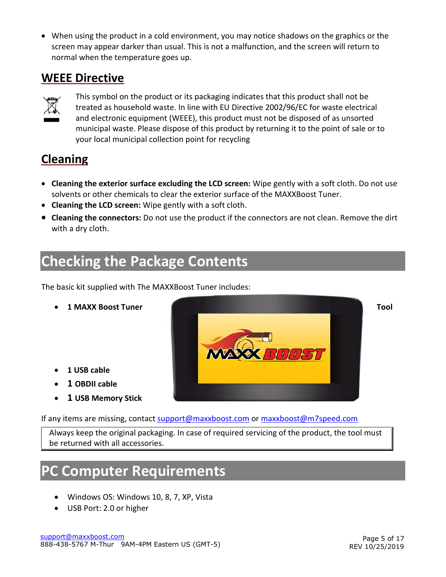• When using the product in a cold environment, you may notice shadows on the graphics or the screen may appear darker than usual. This is not a malfunction, and the screen will return to normal when the temperature goes up.

### <span id="page-4-0"></span>**WEEE Directive**



This symbol on the product or its packaging indicates that this product shall not be treated as household waste. In line with EU Directive 2002/96/EC for waste electrical and electronic equipment (WEEE), this product must not be disposed of as unsorted municipal waste. Please dispose of this product by returning it to the point of sale or to your local municipal collection point for recycling

### <span id="page-4-1"></span>**Cleaning**

- **Cleaning the exterior surface excluding the LCD screen:** Wipe gently with a soft cloth. Do not use solvents or other chemicals to clear the exterior surface of the MAXXBoost Tuner.
- **Cleaning the LCD screen:** Wipe gently with a soft cloth.
- **Cleaning the connectors:** Do not use the product if the connectors are not clean. Remove the dirt with a dry cloth.

### <span id="page-4-2"></span>**Checking the Package Contents**

The basic kit supplied with The MAXXBoost Tuner includes:

- 
- **1 USB cable**
- **1 OBDII cable**
- **1 USB Memory Stick**



If any items are missing, contact [support@maxxboost.com](mailto:support@maxxboost.com) or [maxxboost@m7speed.com](mailto:maxxboost@m7speed.com) 

Always keep the original packaging. In case of required servicing of the product, the tool must be returned with all accessories.

### <span id="page-4-3"></span>**PC Computer Requirements**

- Windows OS: Windows 10, 8, 7, XP, Vista
- USB Port: 2.0 or higher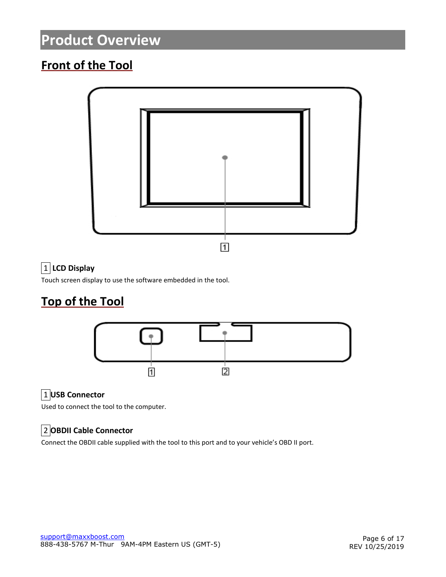### <span id="page-5-0"></span>**Product Overview**

### <span id="page-5-1"></span>**Front of the Tool**



#### $\boxed{1}$  LCD Display

Touch screen display to use the software embedded in the tool.

### <span id="page-5-2"></span>**Top of the Tool**



#### 1 **USB Connector**

Used to connect the tool to the computer.

#### 2 **OBDII Cable Connector**

Connect the OBDII cable supplied with the tool to this port and to your vehicle's OBD II port.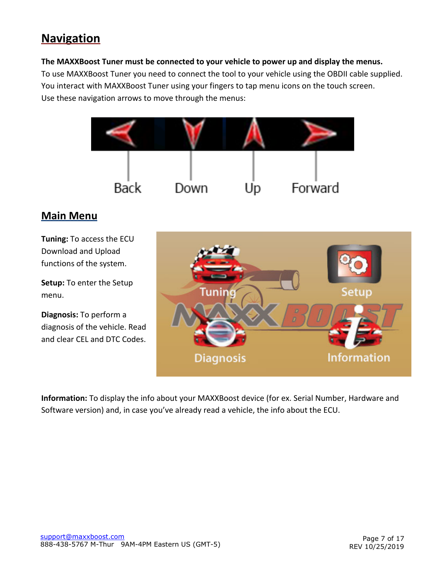### <span id="page-6-0"></span>**Navigation**

#### **The MAXXBoost Tuner must be connected to your vehicle to power up and display the menus.**

To use MAXXBoost Tuner you need to connect the tool to your vehicle using the OBDII cable supplied. You interact with MAXXBoost Tuner using your fingers to tap menu icons on the touch screen. Use these navigation arrows to move through the menus:



#### <span id="page-6-1"></span>**Main Menu**

**Tuning:** To access the ECU Download and Upload functions of the system.

**Setup:** To enter the Setup menu.

**Diagnosis:** To perform a diagnosis of the vehicle. Read and clear CEL and DTC Codes.



**Information:** To display the info about your MAXXBoost device (for ex. Serial Number, Hardware and Software version) and, in case you've already read a vehicle, the info about the ECU.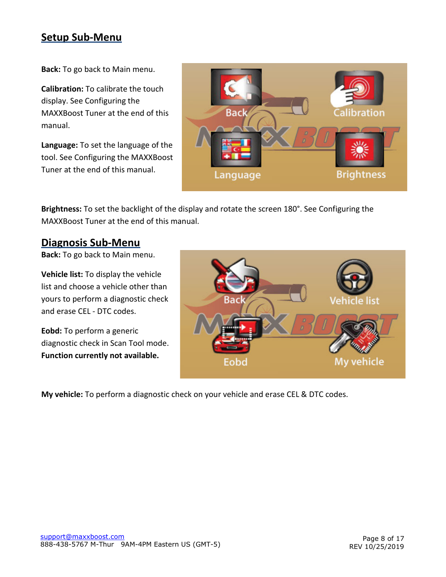#### <span id="page-7-0"></span>**Setup Sub-Menu**

**Back:** To go back to Main menu.

**Calibration:** To calibrate the touch display. See Configuring the MAXXBoost Tuner at the end of this manual.

**Language:** To set the language of the tool. See Configuring the MAXXBoost Tuner at the end of this manual.



**Brightness:** To set the backlight of the display and rotate the screen 180°. See Configuring the MAXXBoost Tuner at the end of this manual.

#### <span id="page-7-1"></span>**Diagnosis Sub-Menu**

**Back:** To go back to Main menu.

**Vehicle list:** To display the vehicle list and choose a vehicle other than yours to perform a diagnostic check and erase CEL - DTC codes.

**Eobd:** To perform a generic diagnostic check in Scan Tool mode. **Function currently not available.**



**My vehicle:** To perform a diagnostic check on your vehicle and erase CEL & DTC codes.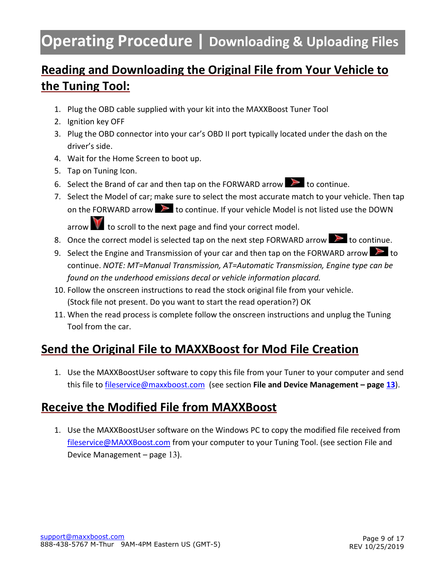### <span id="page-8-0"></span>**Operating Procedure | Downloading & Uploading Files**

### <span id="page-8-1"></span>**Reading and Downloading the Original File from Your Vehicle to the Tuning Tool:**

- 1. Plug the OBD cable supplied with your kit into the MAXXBoost Tuner Tool
- 2. Ignition key OFF
- 3. Plug the OBD connector into your car's OBD II port typically located under the dash on the driver's side.
- 4. Wait for the Home Screen to boot up.
- 5. Tap on Tuning Icon.
- 6. Select the Brand of car and then tap on the FORWARD arrow  $\blacktriangleright$  to continue.
- 7. Select the Model of car; make sure to select the most accurate match to your vehicle. Then tap on the FORWARD arrow  $\triangleright$  to continue. If your vehicle Model is not listed use the DOWN

arrow  $\mathbf{W}$  to scroll to the next page and find your correct model.

- 8. Once the correct model is selected tap on the next step FORWARD arrow  $\triangleright$  to continue.
- 9. Select the Engine and Transmission of your car and then tap on the FORWARD arrow  $\geq 1$  to continue. *NOTE: MT=Manual Transmission, AT=Automatic Transmission, Engine type can be found on the underhood emissions decal or vehicle information placard.*
- 10. Follow the onscreen instructions to read the stock original file from your vehicle. (Stock file not present. Do you want to start the read operation?) OK
- 11. When the read process is complete follow the onscreen instructions and unplug the Tuning Tool from the car.

### <span id="page-8-2"></span>**Send the Original File to MAXXBoost for Mod File Creation**

1. Use the MAXXBoostUser software to copy this file from your Tuner to your computer and send this file to [fileservice@maxxboost.com](mailto:fileservice@maxxboost.com) (see section **File and Device Management – page [13](#page-10-0)**).

### <span id="page-8-3"></span>**Receive the Modified File from MAXXBoost**

1. Use the MAXXBoostUser software on the Windows PC to copy the modified file received from [fileservice@MAXXBoost.com](mailto:fileservice@MAXXBoost.com) from your computer to your Tuning Tool. (see section File and Device Management – page [13](#page-10-0)).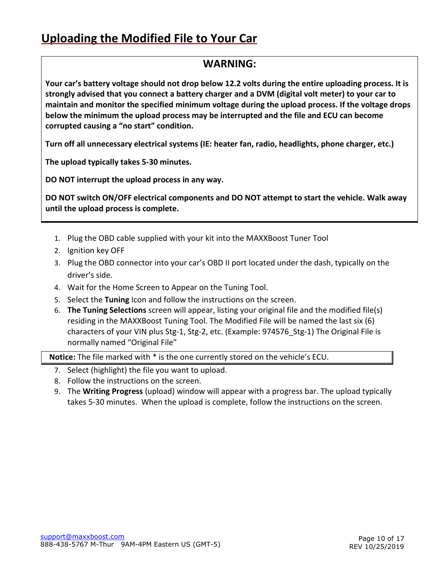### <span id="page-9-0"></span>**Uploading the Modified File to Your Car**

#### **WARNING:**

**Your car's battery voltage should not drop below 12.2 volts during the entire uploading process. It is strongly advised that you connect a battery charger and a DVM (digital volt meter) to your car to maintain and monitor the specified minimum voltage during the upload process. If the voltage drops below the minimum the upload process may be interrupted and the file and ECU can become corrupted causing a "no start" condition.**

**Turn off all unnecessary electrical systems (IE: heater fan, radio, headlights, phone charger, etc.)**

**The upload typically takes 5-30 minutes.**

**DO NOT interrupt the upload process in any way.** 

**DO NOT switch ON/OFF electrical components and DO NOT attempt to start the vehicle. Walk away until the upload process is complete.**

- 1. Plug the OBD cable supplied with your kit into the MAXXBoost Tuner Tool
- 2. Ignition key OFF
- 3. Plug the OBD connector into your car's OBD II port located under the dash, typically on the driver's side.
- 4. Wait for the Home Screen to Appear on the Tuning Tool.
- 5. Select the **Tuning** Icon and follow the instructions on the screen.
- 6. **The Tuning Selections** screen will appear, listing your original file and the modified file(s) residing in the MAXXBoost Tuning Tool. The Modified File will be named the last six (6) characters of your VIN plus Stg-1, Stg-2, etc. (Example: 974576\_Stg-1) The Original File is normally named "Original File"

**Notice:** The file marked with \* is the one currently stored on the vehicle's ECU.

- 7. Select (highlight) the file you want to upload.
- 8. Follow the instructions on the screen.
- 9. The **Writing Progress** (upload) window will appear with a progress bar. The upload typically takes 5-30 minutes. When the upload is complete, follow the instructions on the screen.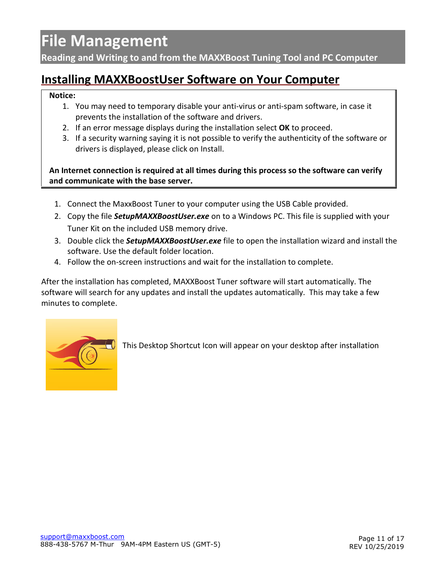### <span id="page-10-0"></span>**File Management**

<span id="page-10-1"></span>**Reading and Writing to and from the MAXXBoost Tuning Tool and PC Computer**

### <span id="page-10-2"></span>**Installing MAXXBoostUser Software on Your Computer**

#### **Notice:**

- 1. You may need to temporary disable your anti-virus or anti-spam software, in case it prevents the installation of the software and drivers.
- 2. If an error message displays during the installation select **OK** to proceed.
- 3. If a security warning saying it is not possible to verify the authenticity of the software or drivers is displayed, please click on Install.

**An Internet connection is required at all times during this process so the software can verify and communicate with the base server.**

- 1. Connect the MaxxBoost Tuner to your computer using the USB Cable provided.
- 2. Copy the file *SetupMAXXBoostUser.exe* on to a Windows PC. This file is supplied with your Tuner Kit on the included USB memory drive.
- 3. Double click the *SetupMAXXBoostUser.exe* file to open the installation wizard and install the software. Use the default folder location.
- 4. Follow the on-screen instructions and wait for the installation to complete.

After the installation has completed, MAXXBoost Tuner software will start automatically. The software will search for any updates and install the updates automatically. This may take a few minutes to complete.



This Desktop Shortcut Icon will appear on your desktop after installation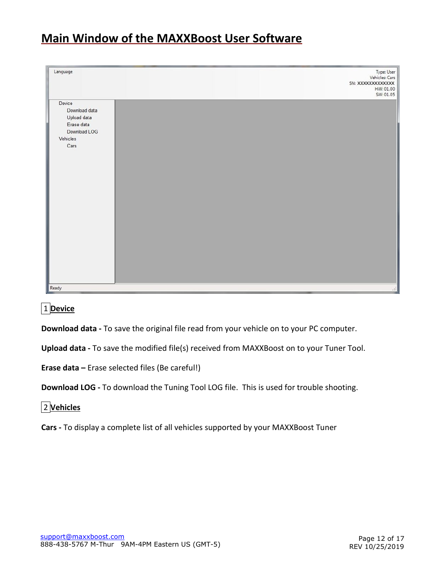### <span id="page-11-0"></span>**Main Window of the MAXXBoost User Software**

| Language                                                                                 | Type: User<br>Vehicles: Cars<br>SN: XXXXXXXXXXXXX<br>HW: 01.00<br>SW: 01.05 |
|------------------------------------------------------------------------------------------|-----------------------------------------------------------------------------|
| Device<br>Download data<br>Upload data<br>Erase data<br>Download LOG<br>Vehicles<br>Cars |                                                                             |
| Ready                                                                                    | $\mathcal{L}$                                                               |

1 **Device**

**Download data -** To save the original file read from your vehicle on to your PC computer.

**Upload data -** To save the modified file(s) received from MAXXBoost on to your Tuner Tool.

**Erase data –** Erase selected files (Be careful!)

**Download LOG -** To download the Tuning Tool LOG file. This is used for trouble shooting.

2 **Vehicles**

**Cars -** To display a complete list of all vehicles supported by your MAXXBoost Tuner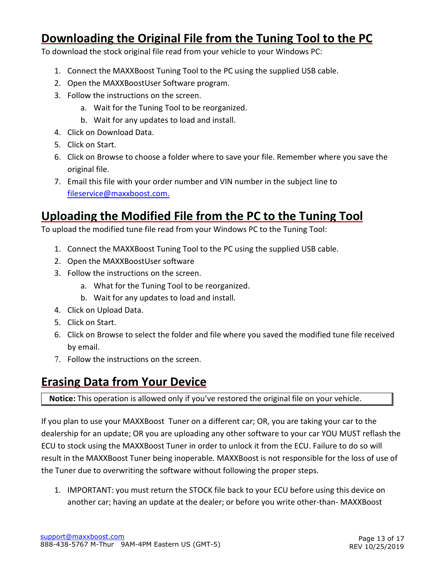### <span id="page-12-0"></span>**Downloading the Original File from the Tuning Tool to the PC**

To download the stock original file read from your vehicle to your Windows PC:

- 1. Connect the MAXXBoost Tuning Tool to the PC using the supplied USB cable.
- 2. Open the MAXXBoostUser Software program.
- 3. Follow the instructions on the screen.
	- a. Wait for the Tuning Tool to be reorganized.
	- b. Wait for any updates to load and install.
- 4. Click on Download Data.
- 5. Click on Start.
- 6. Click on Browse to choose a folder where to save your file. Remember where you save the original file.
- 7. Email this file with your order number and VIN number in the subject line to [fileservice@maxxboost.com.](mailto:fileservice@maxxboost.com)

### <span id="page-12-1"></span>**Uploading the Modified File from the PC to the Tuning Tool**

To upload the modified tune file read from your Windows PC to the Tuning Tool:

- 1. Connect the MAXXBoost Tuning Tool to the PC using the supplied USB cable.
- 2. Open the MAXXBoostUser software
- 3. Follow the instructions on the screen.
	- a. What for the Tuning Tool to be reorganized.
	- b. Wait for any updates to load and install.
- 4. Click on Upload Data.
- 5. Click on Start.
- 6. Click on Browse to select the folder and file where you saved the modified tune file received by email.
- 7. Follow the instructions on the screen.

### <span id="page-12-2"></span>**Erasing Data from Your Device**

**Notice:** This operation is allowed only if you've restored the original file on your vehicle.

If you plan to use your MAXXBoost Tuner on a different car; OR, you are taking your car to the dealership for an update; OR you are uploading any other software to your car YOU MUST reflash the ECU to stock using the MAXXBoost Tuner in order to unlock it from the ECU. Failure to do so will result in the MAXXBoost Tuner being inoperable. MAXXBoost is not responsible for the loss of use of the Tuner due to overwriting the software without following the proper steps.

1. IMPORTANT: you must return the STOCK file back to your ECU before using this device on another car; having an update at the dealer; or before you write other-than- MAXXBoost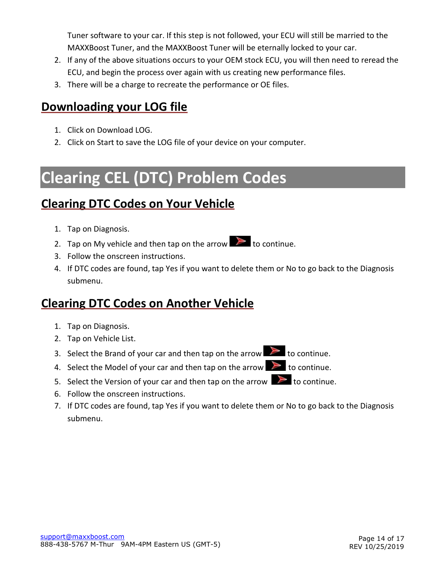Tuner software to your car. If this step is not followed, your ECU will still be married to the MAXXBoost Tuner, and the MAXXBoost Tuner will be eternally locked to your car.

- 2. If any of the above situations occurs to your OEM stock ECU, you will then need to reread the ECU, and begin the process over again with us creating new performance files.
- 3. There will be a charge to recreate the performance or OE files.

### <span id="page-13-0"></span>**Downloading your LOG file**

- 1. Click on Download LOG.
- 2. Click on Start to save the LOG file of your device on your computer.

### <span id="page-13-1"></span>**Clearing CEL (DTC) Problem Codes**

### <span id="page-13-2"></span>**Clearing DTC Codes on Your Vehicle**

- 1. Tap on Diagnosis.
- 2. Tap on My vehicle and then tap on the arrow  $\triangleright$  to continue.
- 3. Follow the onscreen instructions.
- 4. If DTC codes are found, tap Yes if you want to delete them or No to go back to the Diagnosis submenu.

### <span id="page-13-3"></span>**Clearing DTC Codes on Another Vehicle**

- 1. Tap on Diagnosis.
- 2. Tap on Vehicle List.
- 3. Select the Brand of your car and then tap on the arrow  $\triangleright$  to continue.
- 4. Select the Model of your car and then tap on the arrow  $\triangleright$  to continue.
- 5. Select the Version of your car and then tap on the arrow  $\geq 0$  to continue.
- 6. Follow the onscreen instructions.
- 7. If DTC codes are found, tap Yes if you want to delete them or No to go back to the Diagnosis submenu.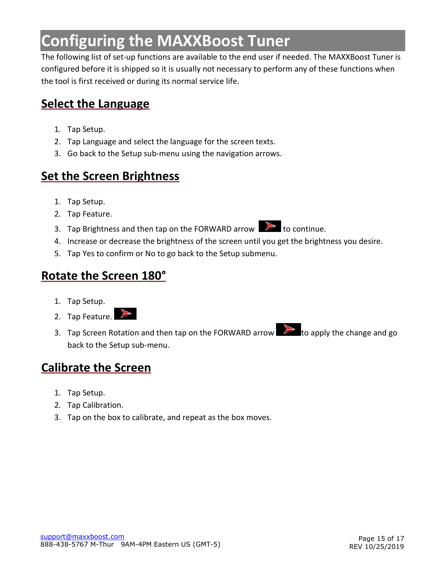### <span id="page-14-0"></span>**Configuring the MAXXBoost Tuner**

The following list of set-up functions are available to the end user if needed. The MAXXBoost Tuner is configured before it is shipped so it is usually not necessary to perform any of these functions when the tool is first received or during its normal service life.

### <span id="page-14-1"></span>**Select the Language**

- 1. Tap Setup.
- 2. Tap Language and select the language for the screen texts.
- 3. Go back to the Setup sub-menu using the navigation arrows.

### <span id="page-14-2"></span>**Set the Screen Brightness**

- 1. Tap Setup.
- 2. Tap Feature.
- 3. Tap Brightness and then tap on the FORWARD arrow  $\Box$  to continue.
- 4. Increase or decrease the brightness of the screen until you get the brightness you desire.
- 5. Tap Yes to confirm or No to go back to the Setup submenu.

#### <span id="page-14-3"></span>**Rotate the Screen 180°**

- 1. Tap Setup.
- 2. Tap Feature.
- 3. Tap Screen Rotation and then tap on the FORWARD arrow  $\Box$  to apply the change and go back to the Setup sub-menu.

### <span id="page-14-4"></span>**Calibrate the Screen**

- 1. Tap Setup.
- 2. Tap Calibration.
- 3. Tap on the box to calibrate, and repeat as the box moves.